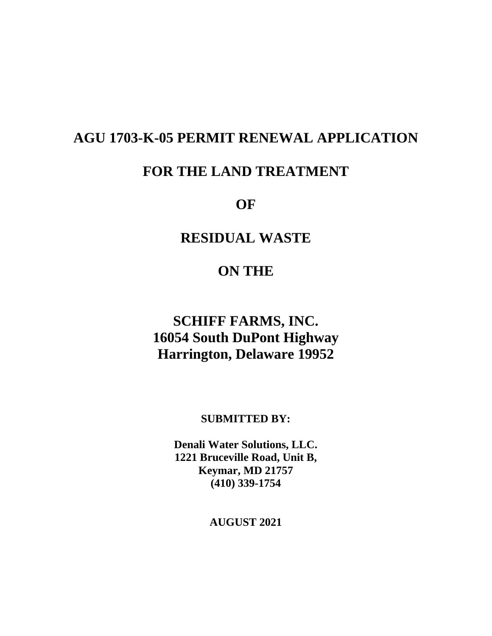# **AGU 1703-K-05 PERMIT RENEWAL APPLICATION**

# **FOR THE LAND TREATMENT**

**OF**

# **RESIDUAL WASTE**

## **ON THE**

# **SCHIFF FARMS, INC. 16054 South DuPont Highway Harrington, Delaware 19952**

### **SUBMITTED BY:**

**Denali Water Solutions, LLC. 1221 Bruceville Road, Unit B, Keymar, MD 21757 (410) 339-1754**

**AUGUST 2021**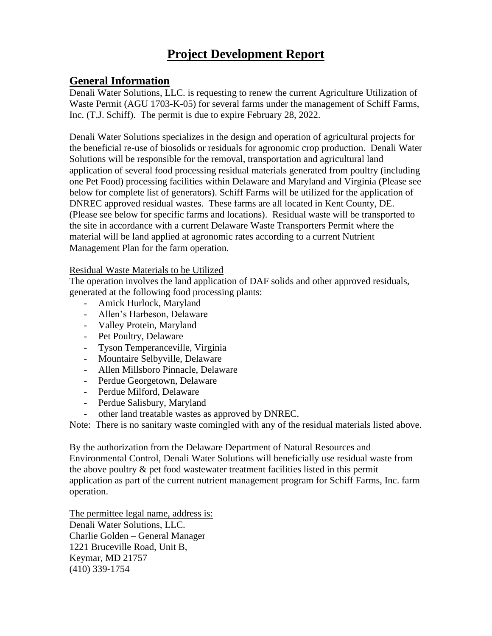# **Project Development Report**

## **General Information**

Denali Water Solutions, LLC. is requesting to renew the current Agriculture Utilization of Waste Permit (AGU 1703-K-05) for several farms under the management of Schiff Farms, Inc. (T.J. Schiff). The permit is due to expire February 28, 2022.

Denali Water Solutions specializes in the design and operation of agricultural projects for the beneficial re-use of biosolids or residuals for agronomic crop production. Denali Water Solutions will be responsible for the removal, transportation and agricultural land application of several food processing residual materials generated from poultry (including one Pet Food) processing facilities within Delaware and Maryland and Virginia (Please see below for complete list of generators). Schiff Farms will be utilized for the application of DNREC approved residual wastes. These farms are all located in Kent County, DE. (Please see below for specific farms and locations). Residual waste will be transported to the site in accordance with a current Delaware Waste Transporters Permit where the material will be land applied at agronomic rates according to a current Nutrient Management Plan for the farm operation.

#### Residual Waste Materials to be Utilized

The operation involves the land application of DAF solids and other approved residuals, generated at the following food processing plants:

- Amick Hurlock, Maryland
- Allen's Harbeson, Delaware
- Valley Protein, Maryland
- Pet Poultry, Delaware
- Tyson Temperanceville, Virginia
- Mountaire Selbyville, Delaware
- Allen Millsboro Pinnacle, Delaware
- Perdue Georgetown, Delaware
- Perdue Milford, Delaware
- Perdue Salisbury, Maryland
- other land treatable wastes as approved by DNREC.

Note: There is no sanitary waste comingled with any of the residual materials listed above.

By the authorization from the Delaware Department of Natural Resources and Environmental Control, Denali Water Solutions will beneficially use residual waste from the above poultry & pet food wastewater treatment facilities listed in this permit application as part of the current nutrient management program for Schiff Farms, Inc. farm operation.

The permittee legal name, address is: Denali Water Solutions, LLC. Charlie Golden – General Manager 1221 Bruceville Road, Unit B, Keymar, MD 21757 (410) 339-1754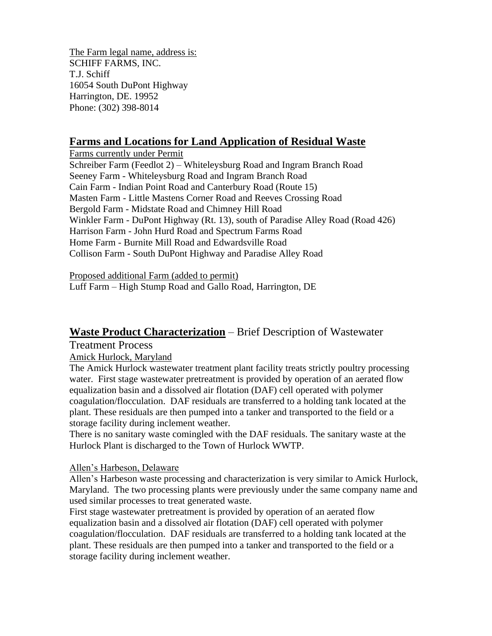The Farm legal name, address is: SCHIFF FARMS, INC. T.J. Schiff 16054 South DuPont Highway Harrington, DE. 19952 Phone: (302) 398-8014

### **Farms and Locations for Land Application of Residual Waste**

Farms currently under Permit Schreiber Farm (Feedlot 2) – Whiteleysburg Road and Ingram Branch Road Seeney Farm - Whiteleysburg Road and Ingram Branch Road Cain Farm - Indian Point Road and Canterbury Road (Route 15) Masten Farm - Little Mastens Corner Road and Reeves Crossing Road Bergold Farm - Midstate Road and Chimney Hill Road Winkler Farm - DuPont Highway (Rt. 13), south of Paradise Alley Road (Road 426) Harrison Farm - John Hurd Road and Spectrum Farms Road Home Farm - Burnite Mill Road and Edwardsville Road Collison Farm - South DuPont Highway and Paradise Alley Road

Proposed additional Farm (added to permit) Luff Farm – High Stump Road and Gallo Road, Harrington, DE

### **Waste Product Characterization** – Brief Description of Wastewater

Treatment Process

Amick Hurlock, Maryland

The Amick Hurlock wastewater treatment plant facility treats strictly poultry processing water. First stage wastewater pretreatment is provided by operation of an aerated flow equalization basin and a dissolved air flotation (DAF) cell operated with polymer coagulation/flocculation. DAF residuals are transferred to a holding tank located at the plant. These residuals are then pumped into a tanker and transported to the field or a storage facility during inclement weather.

There is no sanitary waste comingled with the DAF residuals. The sanitary waste at the Hurlock Plant is discharged to the Town of Hurlock WWTP.

### Allen's Harbeson, Delaware

Allen's Harbeson waste processing and characterization is very similar to Amick Hurlock, Maryland. The two processing plants were previously under the same company name and used similar processes to treat generated waste.

First stage wastewater pretreatment is provided by operation of an aerated flow equalization basin and a dissolved air flotation (DAF) cell operated with polymer coagulation/flocculation. DAF residuals are transferred to a holding tank located at the plant. These residuals are then pumped into a tanker and transported to the field or a storage facility during inclement weather.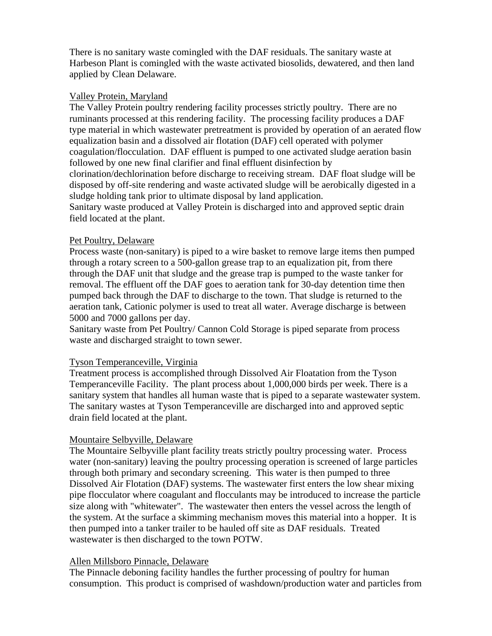There is no sanitary waste comingled with the DAF residuals. The sanitary waste at Harbeson Plant is comingled with the waste activated biosolids, dewatered, and then land applied by Clean Delaware.

#### Valley Protein, Maryland

The Valley Protein poultry rendering facility processes strictly poultry. There are no ruminants processed at this rendering facility. The processing facility produces a DAF type material in which wastewater pretreatment is provided by operation of an aerated flow equalization basin and a dissolved air flotation (DAF) cell operated with polymer coagulation/flocculation. DAF effluent is pumped to one activated sludge aeration basin followed by one new final clarifier and final effluent disinfection by clorination/dechlorination before discharge to receiving stream. DAF float sludge will be disposed by off-site rendering and waste activated sludge will be aerobically digested in a sludge holding tank prior to ultimate disposal by land application. Sanitary waste produced at Valley Protein is discharged into and approved septic drain field located at the plant.

## Pet Poultry, Delaware

Process waste (non-sanitary) is piped to a wire basket to remove large items then pumped through a rotary screen to a 500-gallon grease trap to an equalization pit, from there through the DAF unit that sludge and the grease trap is pumped to the waste tanker for removal. The effluent off the DAF goes to aeration tank for 30-day detention time then pumped back through the DAF to discharge to the town. That sludge is returned to the aeration tank, Cationic polymer is used to treat all water. Average discharge is between 5000 and 7000 gallons per day.

Sanitary waste from Pet Poultry/ Cannon Cold Storage is piped separate from process waste and discharged straight to town sewer.

#### Tyson Temperanceville, Virginia

Treatment process is accomplished through Dissolved Air Floatation from the Tyson Temperanceville Facility. The plant process about 1,000,000 birds per week. There is a sanitary system that handles all human waste that is piped to a separate wastewater system. The sanitary wastes at Tyson Temperanceville are discharged into and approved septic drain field located at the plant.

#### Mountaire Selbyville, Delaware

The Mountaire Selbyville plant facility treats strictly poultry processing water. Process water (non-sanitary) leaving the poultry processing operation is screened of large particles through both primary and secondary screening. This water is then pumped to three Dissolved Air Flotation (DAF) systems. The wastewater first enters the low shear mixing pipe flocculator where coagulant and flocculants may be introduced to increase the particle size along with "whitewater". The wastewater then enters the vessel across the length of the system. At the surface a skimming mechanism moves this material into a hopper. It is then pumped into a tanker trailer to be hauled off site as DAF residuals. Treated wastewater is then discharged to the town POTW.

#### Allen Millsboro Pinnacle, Delaware

The Pinnacle deboning facility handles the further processing of poultry for human consumption. This product is comprised of washdown/production water and particles from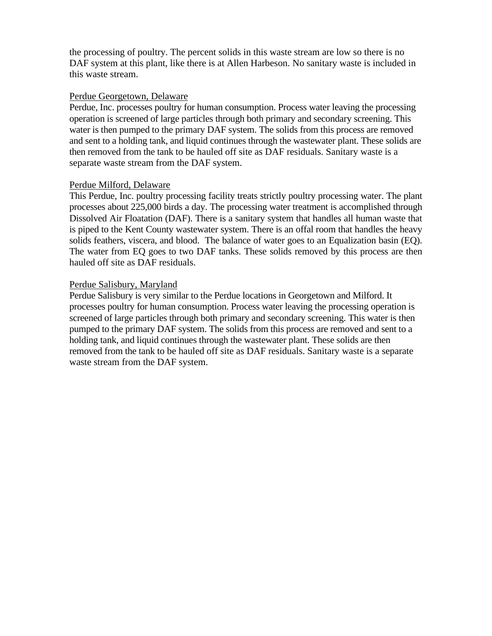the processing of poultry. The percent solids in this waste stream are low so there is no DAF system at this plant, like there is at Allen Harbeson. No sanitary waste is included in this waste stream.

#### Perdue Georgetown, Delaware

Perdue, Inc. processes poultry for human consumption. Process water leaving the processing operation is screened of large particles through both primary and secondary screening. This water is then pumped to the primary DAF system. The solids from this process are removed and sent to a holding tank, and liquid continues through the wastewater plant. These solids are then removed from the tank to be hauled off site as DAF residuals. Sanitary waste is a separate waste stream from the DAF system.

#### Perdue Milford, Delaware

This Perdue, Inc. poultry processing facility treats strictly poultry processing water. The plant processes about 225,000 birds a day. The processing water treatment is accomplished through Dissolved Air Floatation (DAF). There is a sanitary system that handles all human waste that is piped to the Kent County wastewater system. There is an offal room that handles the heavy solids feathers, viscera, and blood. The balance of water goes to an Equalization basin (EQ). The water from EQ goes to two DAF tanks. These solids removed by this process are then hauled off site as DAF residuals.

#### Perdue Salisbury, Maryland

Perdue Salisbury is very similar to the Perdue locations in Georgetown and Milford. It processes poultry for human consumption. Process water leaving the processing operation is screened of large particles through both primary and secondary screening. This water is then pumped to the primary DAF system. The solids from this process are removed and sent to a holding tank, and liquid continues through the wastewater plant. These solids are then removed from the tank to be hauled off site as DAF residuals. Sanitary waste is a separate waste stream from the DAF system.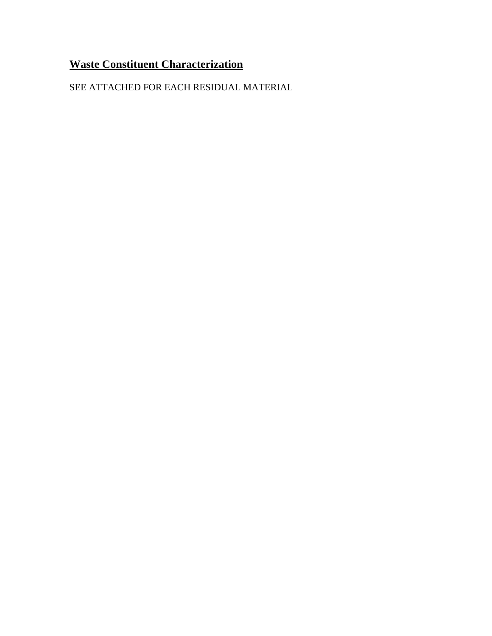# **Waste Constituent Characterization**

SEE ATTACHED FOR EACH RESIDUAL MATERIAL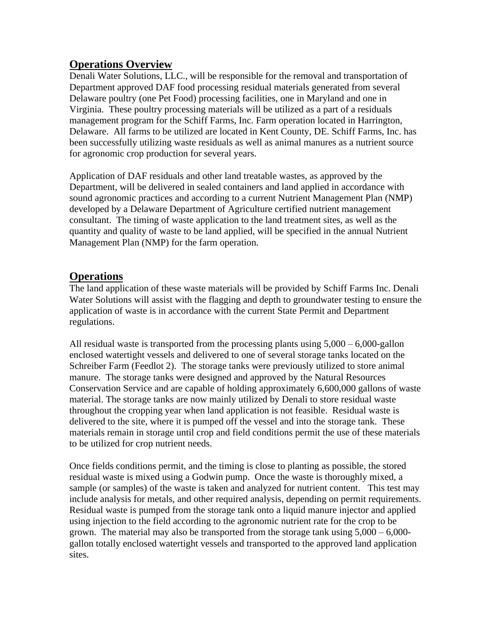### **Operations Overview**

Denali Water Solutions, LLC., will be responsible for the removal and transportation of Department approved DAF food processing residual materials generated from several Delaware poultry (one Pet Food) processing facilities, one in Maryland and one in Virginia. These poultry processing materials will be utilized as a part of a residuals management program for the Schiff Farms, Inc. Farm operation located in Harrington, Delaware. All farms to be utilized are located in Kent County, DE. Schiff Farms, Inc. has been successfully utilizing waste residuals as well as animal manures as a nutrient source for agronomic crop production for several years.

Application of DAF residuals and other land treatable wastes, as approved by the Department, will be delivered in sealed containers and land applied in accordance with sound agronomic practices and according to a current Nutrient Management Plan (NMP) developed by a Delaware Department of Agriculture certified nutrient management consultant. The timing of waste application to the land treatment sites, as well as the quantity and quality of waste to be land applied, will be specified in the annual Nutrient Management Plan (NMP) for the farm operation.

## **Operations**

The land application of these waste materials will be provided by Schiff Farms Inc. Denali Water Solutions will assist with the flagging and depth to groundwater testing to ensure the application of waste is in accordance with the current State Permit and Department regulations.

All residual waste is transported from the processing plants using 5,000 – 6,000-gallon enclosed watertight vessels and delivered to one of several storage tanks located on the Schreiber Farm (Feedlot 2). The storage tanks were previously utilized to store animal manure. The storage tanks were designed and approved by the Natural Resources Conservation Service and are capable of holding approximately 6,600,000 gallons of waste material. The storage tanks are now mainly utilized by Denali to store residual waste throughout the cropping year when land application is not feasible. Residual waste is delivered to the site, where it is pumped off the vessel and into the storage tank. These materials remain in storage until crop and field conditions permit the use of these materials to be utilized for crop nutrient needs.

Once fields conditions permit, and the timing is close to planting as possible, the stored residual waste is mixed using a Godwin pump. Once the waste is thoroughly mixed, a sample (or samples) of the waste is taken and analyzed for nutrient content. This test may include analysis for metals, and other required analysis, depending on permit requirements. Residual waste is pumped from the storage tank onto a liquid manure injector and applied using injection to the field according to the agronomic nutrient rate for the crop to be grown. The material may also be transported from the storage tank using 5,000 – 6,000 gallon totally enclosed watertight vessels and transported to the approved land application sites.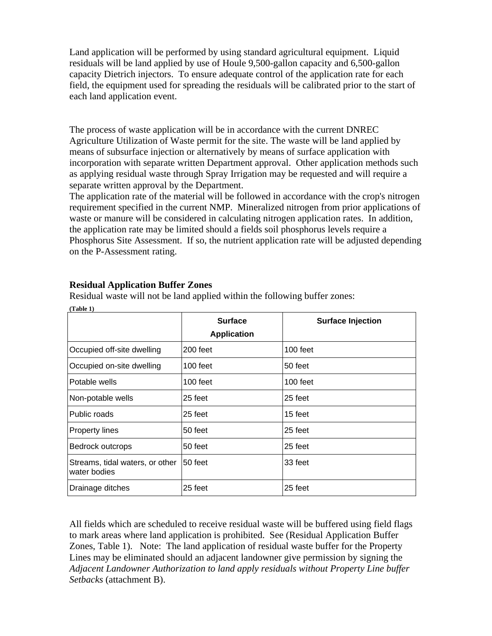Land application will be performed by using standard agricultural equipment. Liquid residuals will be land applied by use of Houle 9,500-gallon capacity and 6,500-gallon capacity Dietrich injectors. To ensure adequate control of the application rate for each field, the equipment used for spreading the residuals will be calibrated prior to the start of each land application event.

The process of waste application will be in accordance with the current DNREC Agriculture Utilization of Waste permit for the site. The waste will be land applied by means of subsurface injection or alternatively by means of surface application with incorporation with separate written Department approval. Other application methods such as applying residual waste through Spray Irrigation may be requested and will require a separate written approval by the Department.

The application rate of the material will be followed in accordance with the crop's nitrogen requirement specified in the current NMP. Mineralized nitrogen from prior applications of waste or manure will be considered in calculating nitrogen application rates. In addition, the application rate may be limited should a fields soil phosphorus levels require a Phosphorus Site Assessment. If so, the nutrient application rate will be adjusted depending on the P-Assessment rating.

|                                                 | <b>Surface</b><br><b>Application</b> | <b>Surface Injection</b> |
|-------------------------------------------------|--------------------------------------|--------------------------|
| Occupied off-site dwelling                      | $200$ feet                           | $100$ feet               |
| Occupied on-site dwelling                       | $100$ feet                           | 50 feet                  |
| Potable wells                                   | 100 feet                             | $100$ feet               |
| Non-potable wells                               | 25 feet                              | 25 feet                  |
| Public roads                                    | 25 feet                              | 15 feet                  |
| <b>Property lines</b>                           | 50 feet                              | 25 feet                  |
| Bedrock outcrops                                | 50 feet                              | 25 feet                  |
| Streams, tidal waters, or other<br>water bodies | 50 feet                              | 33 feet                  |
| Drainage ditches                                | 25 feet                              | 25 feet                  |

### **Residual Application Buffer Zones**

Residual waste will not be land applied within the following buffer zones: **(Table 1)**

All fields which are scheduled to receive residual waste will be buffered using field flags to mark areas where land application is prohibited. See (Residual Application Buffer Zones, Table 1). Note: The land application of residual waste buffer for the Property Lines may be eliminated should an adjacent landowner give permission by signing the *Adjacent Landowner Authorization to land apply residuals without Property Line buffer Setbacks* (attachment B).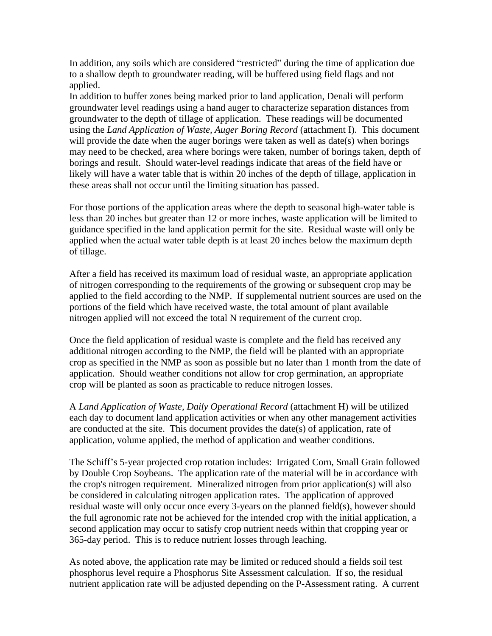In addition, any soils which are considered "restricted" during the time of application due to a shallow depth to groundwater reading, will be buffered using field flags and not applied.

In addition to buffer zones being marked prior to land application, Denali will perform groundwater level readings using a hand auger to characterize separation distances from groundwater to the depth of tillage of application. These readings will be documented using the *Land Application of Waste, Auger Boring Record* (attachment I). This document will provide the date when the auger borings were taken as well as date(s) when borings may need to be checked, area where borings were taken, number of borings taken, depth of borings and result. Should water-level readings indicate that areas of the field have or likely will have a water table that is within 20 inches of the depth of tillage, application in these areas shall not occur until the limiting situation has passed.

For those portions of the application areas where the depth to seasonal high-water table is less than 20 inches but greater than 12 or more inches, waste application will be limited to guidance specified in the land application permit for the site. Residual waste will only be applied when the actual water table depth is at least 20 inches below the maximum depth of tillage.

After a field has received its maximum load of residual waste, an appropriate application of nitrogen corresponding to the requirements of the growing or subsequent crop may be applied to the field according to the NMP. If supplemental nutrient sources are used on the portions of the field which have received waste, the total amount of plant available nitrogen applied will not exceed the total N requirement of the current crop.

Once the field application of residual waste is complete and the field has received any additional nitrogen according to the NMP, the field will be planted with an appropriate crop as specified in the NMP as soon as possible but no later than 1 month from the date of application. Should weather conditions not allow for crop germination, an appropriate crop will be planted as soon as practicable to reduce nitrogen losses.

A *Land Application of Waste, Daily Operational Record* (attachment H) will be utilized each day to document land application activities or when any other management activities are conducted at the site. This document provides the date(s) of application, rate of application, volume applied, the method of application and weather conditions.

The Schiff's 5-year projected crop rotation includes: Irrigated Corn, Small Grain followed by Double Crop Soybeans. The application rate of the material will be in accordance with the crop's nitrogen requirement. Mineralized nitrogen from prior application(s) will also be considered in calculating nitrogen application rates. The application of approved residual waste will only occur once every 3-years on the planned field(s), however should the full agronomic rate not be achieved for the intended crop with the initial application, a second application may occur to satisfy crop nutrient needs within that cropping year or 365-day period. This is to reduce nutrient losses through leaching.

As noted above, the application rate may be limited or reduced should a fields soil test phosphorus level require a Phosphorus Site Assessment calculation. If so, the residual nutrient application rate will be adjusted depending on the P-Assessment rating. A current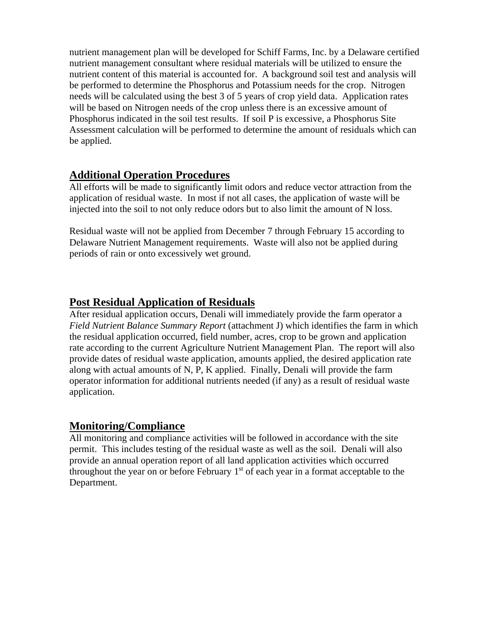nutrient management plan will be developed for Schiff Farms, Inc. by a Delaware certified nutrient management consultant where residual materials will be utilized to ensure the nutrient content of this material is accounted for. A background soil test and analysis will be performed to determine the Phosphorus and Potassium needs for the crop. Nitrogen needs will be calculated using the best 3 of 5 years of crop yield data. Application rates will be based on Nitrogen needs of the crop unless there is an excessive amount of Phosphorus indicated in the soil test results. If soil P is excessive, a Phosphorus Site Assessment calculation will be performed to determine the amount of residuals which can be applied.

## **Additional Operation Procedures**

All efforts will be made to significantly limit odors and reduce vector attraction from the application of residual waste. In most if not all cases, the application of waste will be injected into the soil to not only reduce odors but to also limit the amount of N loss.

Residual waste will not be applied from December 7 through February 15 according to Delaware Nutrient Management requirements. Waste will also not be applied during periods of rain or onto excessively wet ground.

## **Post Residual Application of Residuals**

After residual application occurs, Denali will immediately provide the farm operator a *Field Nutrient Balance Summary Report* (attachment J) which identifies the farm in which the residual application occurred, field number, acres, crop to be grown and application rate according to the current Agriculture Nutrient Management Plan. The report will also provide dates of residual waste application, amounts applied, the desired application rate along with actual amounts of N, P, K applied. Finally, Denali will provide the farm operator information for additional nutrients needed (if any) as a result of residual waste application.

### **Monitoring/Compliance**

All monitoring and compliance activities will be followed in accordance with the site permit. This includes testing of the residual waste as well as the soil. Denali will also provide an annual operation report of all land application activities which occurred throughout the year on or before February  $1<sup>st</sup>$  of each year in a format acceptable to the Department.